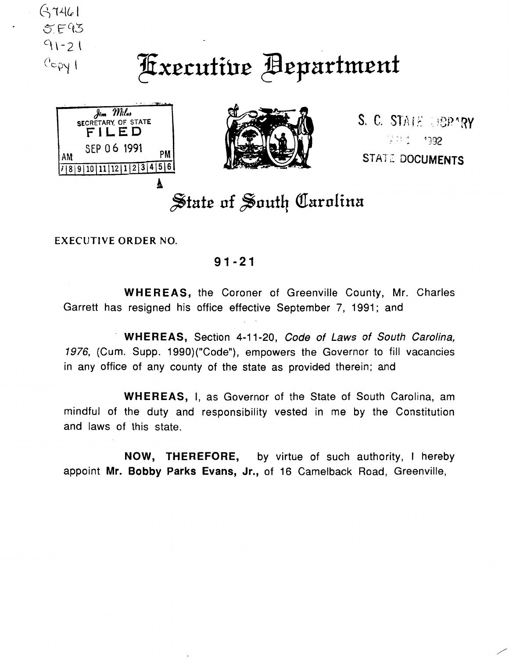$(3746)$  $SFR3$  $91 - 21$ 

## Copy Hxecutive Bepartment





S. C. STATE UGRARY  $3.211 - 1392$ **STATE DOCUMENTS** 

## State of South Carolina

EXECUTIVE ORDER NO.

## 91 -21

WHEREAS, the Coroner of Greenville County, Mr. Charles Garrett has resigned his office effective September 7, 1991; and

WHEREAS, Section 4-11-20, Code of Laws of South Carolina, 1976, (Cum. Supp. 1990)("Code"), empowers the Governor to fill vacancies in any office of any county of the state as provided therein; and

WHEREAS, I, as Governor of the State of South Carolina, am mindful of the duty and responsibility vested in me by the Constitution and laws of this state.

NOW, THEREFORE, by virtue of such authority, I hereby appoint Mr. Bobby Parks Evans, Jr., of 16 Camelback Road, Greenville,